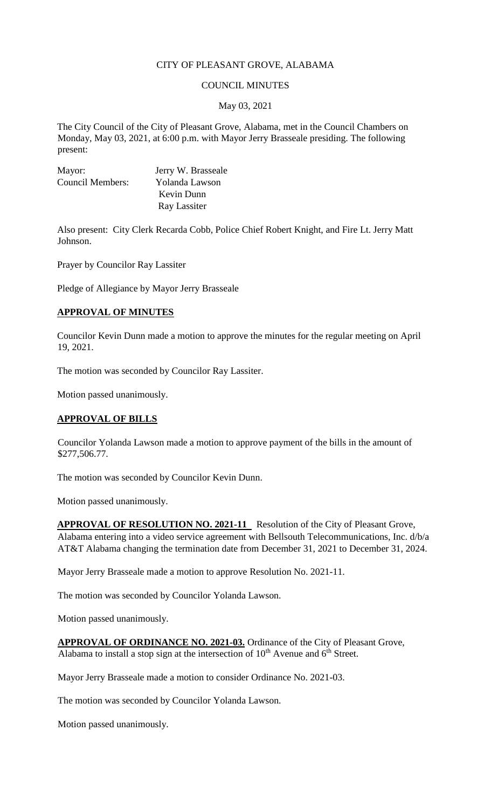## CITY OF PLEASANT GROVE, ALABAMA

#### COUNCIL MINUTES

#### May 03, 2021

The City Council of the City of Pleasant Grove, Alabama, met in the Council Chambers on Monday, May 03, 2021, at 6:00 p.m. with Mayor Jerry Brasseale presiding. The following present:

| Mayor:           | Jerry W. Brasseale |
|------------------|--------------------|
| Council Members: | Yolanda Lawson     |
|                  | Kevin Dunn         |
|                  | Ray Lassiter       |

Also present: City Clerk Recarda Cobb, Police Chief Robert Knight, and Fire Lt. Jerry Matt Johnson.

Prayer by Councilor Ray Lassiter

Pledge of Allegiance by Mayor Jerry Brasseale

#### **APPROVAL OF MINUTES**

Councilor Kevin Dunn made a motion to approve the minutes for the regular meeting on April 19, 2021.

The motion was seconded by Councilor Ray Lassiter.

Motion passed unanimously.

#### **APPROVAL OF BILLS**

Councilor Yolanda Lawson made a motion to approve payment of the bills in the amount of \$277,506.77.

The motion was seconded by Councilor Kevin Dunn.

Motion passed unanimously.

**APPROVAL OF RESOLUTION NO. 2021-11** Resolution of the City of Pleasant Grove, Alabama entering into a video service agreement with Bellsouth Telecommunications, Inc. d/b/a AT&T Alabama changing the termination date from December 31, 2021 to December 31, 2024.

Mayor Jerry Brasseale made a motion to approve Resolution No. 2021-11.

The motion was seconded by Councilor Yolanda Lawson.

Motion passed unanimously.

**APPROVAL OF ORDINANCE NO. 2021-03.** Ordinance of the City of Pleasant Grove, Alabama to install a stop sign at the intersection of  $10<sup>th</sup>$  Avenue and  $6<sup>th</sup>$  Street.

Mayor Jerry Brasseale made a motion to consider Ordinance No. 2021-03.

The motion was seconded by Councilor Yolanda Lawson.

Motion passed unanimously.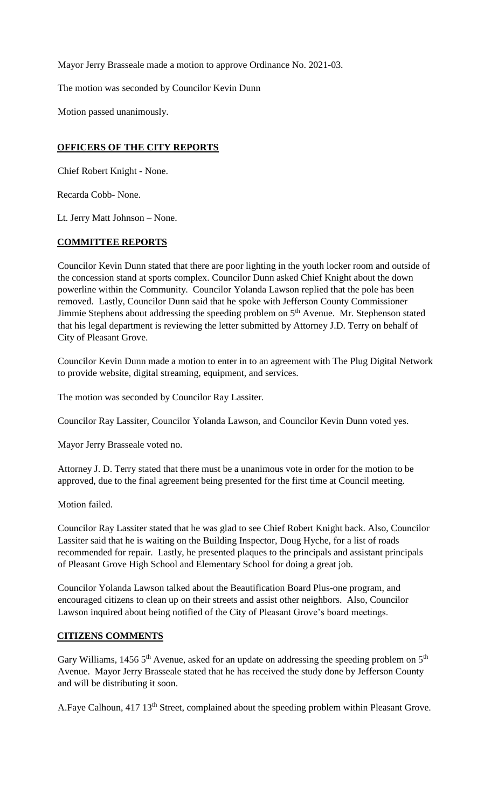Mayor Jerry Brasseale made a motion to approve Ordinance No. 2021-03.

The motion was seconded by Councilor Kevin Dunn

Motion passed unanimously.

## **OFFICERS OF THE CITY REPORTS**

Chief Robert Knight - None.

Recarda Cobb- None.

Lt. Jerry Matt Johnson – None.

### **COMMITTEE REPORTS**

Councilor Kevin Dunn stated that there are poor lighting in the youth locker room and outside of the concession stand at sports complex. Councilor Dunn asked Chief Knight about the down powerline within the Community. Councilor Yolanda Lawson replied that the pole has been removed. Lastly, Councilor Dunn said that he spoke with Jefferson County Commissioner Jimmie Stephens about addressing the speeding problem on  $5<sup>th</sup>$  Avenue. Mr. Stephenson stated that his legal department is reviewing the letter submitted by Attorney J.D. Terry on behalf of City of Pleasant Grove.

Councilor Kevin Dunn made a motion to enter in to an agreement with The Plug Digital Network to provide website, digital streaming, equipment, and services.

The motion was seconded by Councilor Ray Lassiter.

Councilor Ray Lassiter, Councilor Yolanda Lawson, and Councilor Kevin Dunn voted yes.

Mayor Jerry Brasseale voted no.

Attorney J. D. Terry stated that there must be a unanimous vote in order for the motion to be approved, due to the final agreement being presented for the first time at Council meeting.

Motion failed.

Councilor Ray Lassiter stated that he was glad to see Chief Robert Knight back. Also, Councilor Lassiter said that he is waiting on the Building Inspector, Doug Hyche, for a list of roads recommended for repair. Lastly, he presented plaques to the principals and assistant principals of Pleasant Grove High School and Elementary School for doing a great job.

Councilor Yolanda Lawson talked about the Beautification Board Plus-one program, and encouraged citizens to clean up on their streets and assist other neighbors. Also, Councilor Lawson inquired about being notified of the City of Pleasant Grove's board meetings.

## **CITIZENS COMMENTS**

Gary Williams, 1456  $5<sup>th</sup>$  Avenue, asked for an update on addressing the speeding problem on  $5<sup>th</sup>$ Avenue. Mayor Jerry Brasseale stated that he has received the study done by Jefferson County and will be distributing it soon.

A.Faye Calhoun, 417 13<sup>th</sup> Street, complained about the speeding problem within Pleasant Grove.